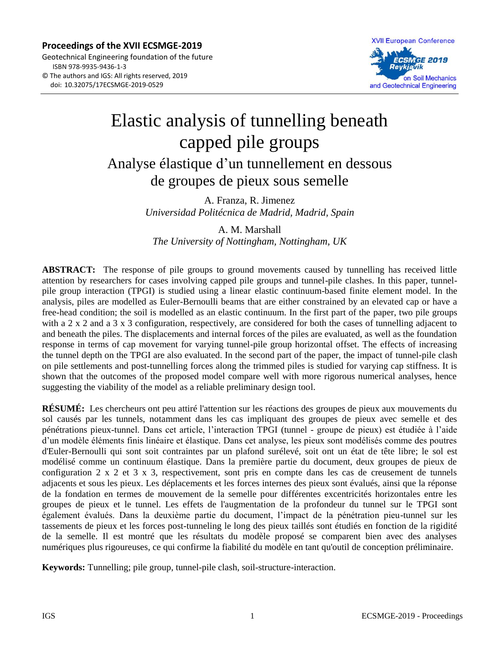**Proceedings of the XVII ECSMGE-2019**  Geotechnical Engineering foundation of the future ISBN 978-9935-9436-1-3 © The authors and IGS: All rights reserved, 2019 doi: 10.32075/17ECSMGE-2019-0529



# Elastic analysis of tunnelling beneath capped pile groups Analyse élastique d'un tunnellement en dessous de groupes de pieux sous semelle

A. Franza, R. Jimenez *Universidad Politécnica de Madrid, Madrid, Spain*

A. M. Marshall *The University of Nottingham, Nottingham, UK*

**ABSTRACT:** The response of pile groups to ground movements caused by tunnelling has received little attention by researchers for cases involving capped pile groups and tunnel-pile clashes. In this paper, tunnelpile group interaction (TPGI) is studied using a linear elastic continuum-based finite element model. In the analysis, piles are modelled as Euler-Bernoulli beams that are either constrained by an elevated cap or have a free-head condition; the soil is modelled as an elastic continuum. In the first part of the paper, two pile groups with a 2 x 2 and a 3 x 3 configuration, respectively, are considered for both the cases of tunnelling adjacent to and beneath the piles. The displacements and internal forces of the piles are evaluated, as well as the foundation response in terms of cap movement for varying tunnel-pile group horizontal offset. The effects of increasing the tunnel depth on the TPGI are also evaluated. In the second part of the paper, the impact of tunnel-pile clash on pile settlements and post-tunnelling forces along the trimmed piles is studied for varying cap stiffness. It is shown that the outcomes of the proposed model compare well with more rigorous numerical analyses, hence suggesting the viability of the model as a reliable preliminary design tool.

**RÉSUMÉ:** Les chercheurs ont peu attiré l'attention sur les réactions des groupes de pieux aux mouvements du sol causés par les tunnels, notamment dans les cas impliquant des groupes de pieux avec semelle et des pénétrations pieux-tunnel. Dans cet article, l'interaction TPGI (tunnel - groupe de pieux) est étudiée à l'aide d'un modèle éléments finis linéaire et élastique. Dans cet analyse, les pieux sont modélisés comme des poutres d'Euler-Bernoulli qui sont soit contraintes par un plafond surélevé, soit ont un état de tête libre; le sol est modélisé comme un continuum élastique. Dans la première partie du document, deux groupes de pieux de configuration 2 x 2 et 3 x 3, respectivement, sont pris en compte dans les cas de creusement de tunnels adjacents et sous les pieux. Les déplacements et les forces internes des pieux sont évalués, ainsi que la réponse de la fondation en termes de mouvement de la semelle pour différentes excentricités horizontales entre les groupes de pieux et le tunnel. Les effets de l'augmentation de la profondeur du tunnel sur le TPGI sont également évalués. Dans la deuxième partie du document, l'impact de la pénétration pieu-tunnel sur les tassements de pieux et les forces post-tunneling le long des pieux taillés sont étudiés en fonction de la rigidité de la semelle. Il est montré que les résultats du modèle proposé se comparent bien avec des analyses numériques plus rigoureuses, ce qui confirme la fiabilité du modèle en tant qu'outil de conception préliminaire.

**Keywords:** Tunnelling; pile group, tunnel-pile clash, soil-structure-interaction.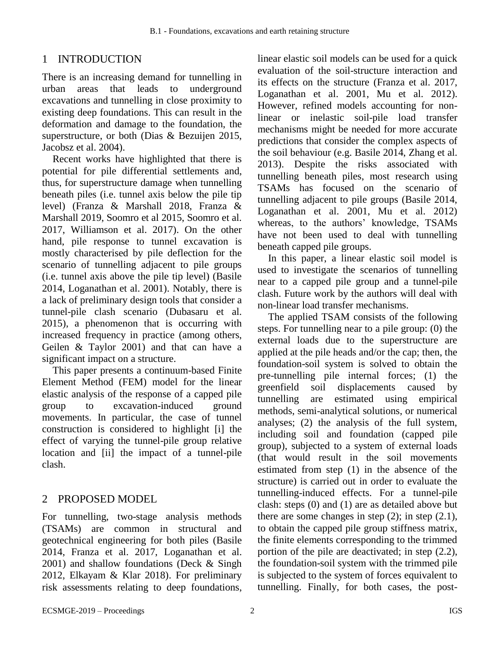# 1 INTRODUCTION

There is an increasing demand for tunnelling in urban areas that leads to underground excavations and tunnelling in close proximity to existing deep foundations. This can result in the deformation and damage to the foundation, the superstructure, or both (Dias & Bezuijen 2015, Jacobsz et al. 2004).

Recent works have highlighted that there is potential for pile differential settlements and, thus, for superstructure damage when tunnelling beneath piles (i.e. tunnel axis below the pile tip level) (Franza & Marshall 2018, Franza & Marshall 2019, Soomro et al 2015, Soomro et al. 2017, Williamson et al. 2017). On the other hand, pile response to tunnel excavation is mostly characterised by pile deflection for the scenario of tunnelling adjacent to pile groups (i.e. tunnel axis above the pile tip level) (Basile 2014, Loganathan et al. 2001). Notably, there is a lack of preliminary design tools that consider a tunnel-pile clash scenario (Dubasaru et al. 2015), a phenomenon that is occurring with increased frequency in practice (among others, Geilen & Taylor 2001) and that can have a significant impact on a structure.

This paper presents a continuum-based Finite Element Method (FEM) model for the linear elastic analysis of the response of a capped pile group to excavation-induced ground movements. In particular, the case of tunnel construction is considered to highlight [i] the effect of varying the tunnel-pile group relative location and [ii] the impact of a tunnel-pile clash.

## 2 PROPOSED MODEL

For tunnelling, two-stage analysis methods (TSAMs) are common in structural and geotechnical engineering for both piles (Basile 2014, Franza et al. 2017, Loganathan et al. 2001) and shallow foundations (Deck & Singh 2012, Elkayam & Klar 2018). For preliminary risk assessments relating to deep foundations,

linear elastic soil models can be used for a quick evaluation of the soil-structure interaction and its effects on the structure (Franza et al. 2017, Loganathan et al. 2001, Mu et al. 2012). However, refined models accounting for nonlinear or inelastic soil-pile load transfer mechanisms might be needed for more accurate predictions that consider the complex aspects of the soil behaviour (e.g. Basile 2014, Zhang et al. 2013). Despite the risks associated with tunnelling beneath piles, most research using TSAMs has focused on the scenario of tunnelling adjacent to pile groups (Basile 2014, Loganathan et al. 2001, Mu et al. 2012) whereas, to the authors' knowledge, TSAMs have not been used to deal with tunnelling beneath capped pile groups.

In this paper, a linear elastic soil model is used to investigate the scenarios of tunnelling near to a capped pile group and a tunnel-pile clash. Future work by the authors will deal with non-linear load transfer mechanisms.

The applied TSAM consists of the following steps. For tunnelling near to a pile group: (0) the external loads due to the superstructure are applied at the pile heads and/or the cap; then, the foundation-soil system is solved to obtain the pre-tunnelling pile internal forces; (1) the greenfield soil displacements caused by tunnelling are estimated using empirical methods, semi-analytical solutions, or numerical analyses; (2) the analysis of the full system, including soil and foundation (capped pile group), subjected to a system of external loads (that would result in the soil movements estimated from step (1) in the absence of the structure) is carried out in order to evaluate the tunnelling-induced effects. For a tunnel-pile clash: steps (0) and (1) are as detailed above but there are some changes in step  $(2)$ ; in step  $(2.1)$ , to obtain the capped pile group stiffness matrix, the finite elements corresponding to the trimmed portion of the pile are deactivated; in step (2.2), the foundation-soil system with the trimmed pile is subjected to the system of forces equivalent to tunnelling. Finally, for both cases, the post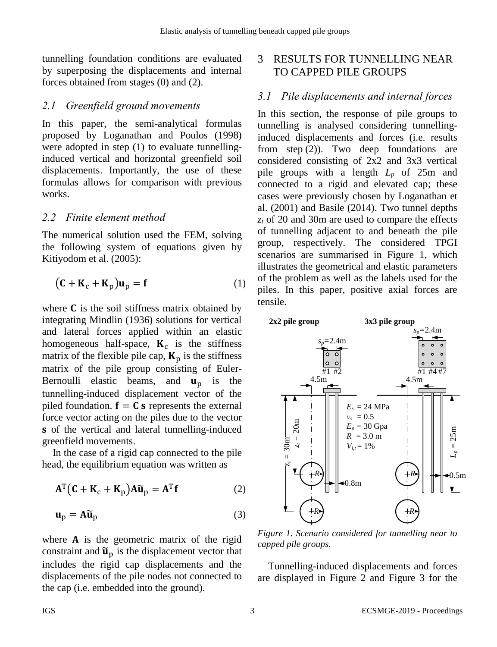tunnelling foundation conditions are evaluated by superposing the displacements and internal forces obtained from stages (0) and (2).

## *2.1 Greenfield ground movements*

In this paper, the semi-analytical formulas proposed by Loganathan and Poulos (1998) were adopted in step (1) to evaluate tunnellinginduced vertical and horizontal greenfield soil displacements. Importantly, the use of these formulas allows for comparison with previous works.

#### *2.2 Finite element method*

The numerical solution used the FEM, solving the following system of equations given by Kitiyodom et al. (2005):

$$
(\mathbf{C} + \mathbf{K}_c + \mathbf{K}_p)\mathbf{u}_p = \mathbf{f}
$$
 (1)

where  $C$  is the soil stiffness matrix obtained by integrating Mindlin (1936) solutions for vertical and lateral forces applied within an elastic homogeneous half-space,  $K_c$  is the stiffness matrix of the flexible pile cap,  $K_p$  is the stiffness matrix of the pile group consisting of Euler-Bernoulli elastic beams, and  $\mathbf{u}_n$  is the tunnelling-induced displacement vector of the piled foundation.  $f = C s$  represents the external force vector acting on the piles due to the vector s of the vertical and lateral tunnelling-induced greenfield movements.

In the case of a rigid cap connected to the pile head, the equilibrium equation was written as

$$
\mathbf{A}^{\mathrm{T}}(\mathbf{C} + \mathbf{K}_{\mathrm{c}} + \mathbf{K}_{\mathrm{p}})\mathbf{A}\widetilde{\mathbf{u}}_{\mathrm{p}} = \mathbf{A}^{\mathrm{T}}\mathbf{f}
$$
 (2)

$$
\mathbf{u}_\mathbf{p} = \mathbf{A}\widetilde{\mathbf{u}}_\mathbf{p} \tag{3}
$$

where  $\bf{A}$  is the geometric matrix of the rigid constraint and  $\tilde{\mathbf{u}}_p$  is the displacement vector that includes the rigid cap displacements and the displacements of the pile nodes not connected to the cap (i.e. embedded into the ground).

## 3 RESULTS FOR TUNNELLING NEAR TO CAPPED PILE GROUPS

## *3.1 Pile displacements and internal forces*

In this section, the response of pile groups to tunnelling is analysed considering tunnellinginduced displacements and forces (i.e. results from step (2)). Two deep foundations are considered consisting of 2x2 and 3x3 vertical pile groups with a length *L<sup>p</sup>* of 25m and connected to a rigid and elevated cap; these cases were previously chosen by Loganathan et al. (2001) and Basile (2014). Two tunnel depths *z<sup>t</sup>* of 20 and 30m are used to compare the effects of tunnelling adjacent to and beneath the pile group, respectively. The considered TPGI scenarios are summarised in [Figure 1,](#page-2-0) which illustrates the geometrical and elastic parameters of the problem as well as the labels used for the piles. In this paper, positive axial forces are tensile.



<span id="page-2-0"></span>*Figure 1. Scenario considered for tunnelling near to capped pile groups.*

Tunnelling-induced displacements and forces are displayed in [Figure 2](#page-3-0) and [Figure 3](#page-3-1) for the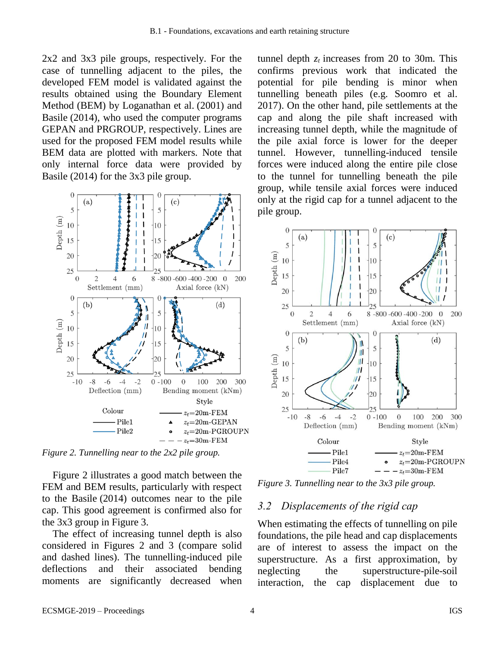2x2 and 3x3 pile groups, respectively. For the case of tunnelling adjacent to the piles, the developed FEM model is validated against the results obtained using the Boundary Element Method (BEM) by Loganathan et al. (2001) and Basile (2014), who used the computer programs GEPAN and PRGROUP, respectively. Lines are used for the proposed FEM model results while BEM data are plotted with markers. Note that only internal force data were provided by Basile (2014) for the 3x3 pile group.



<span id="page-3-0"></span>*Figure 2. Tunnelling near to the 2x2 pile group.*

[Figure 2](#page-3-0) illustrates a good match between the FEM and BEM results, particularly with respect to the Basile (2014) outcomes near to the pile cap. This good agreement is confirmed also for the 3x3 group in [Figure 3.](#page-3-1)

The effect of increasing tunnel depth is also considered in Figures 2 and 3 (compare solid and dashed lines). The tunnelling-induced pile deflections and their associated bending moments are significantly decreased when

tunnel depth  $z_t$  increases from 20 to 30m. This confirms previous work that indicated the potential for pile bending is minor when tunnelling beneath piles (e.g. Soomro et al. 2017). On the other hand, pile settlements at the cap and along the pile shaft increased with increasing tunnel depth, while the magnitude of the pile axial force is lower for the deeper tunnel. However, tunnelling-induced tensile forces were induced along the entire pile close to the tunnel for tunnelling beneath the pile group, while tensile axial forces were induced only at the rigid cap for a tunnel adjacent to the pile group.



<span id="page-3-1"></span>*Figure 3. Tunnelling near to the 3x3 pile group.*

#### *3.2 Displacements of the rigid cap*

When estimating the effects of tunnelling on pile foundations, the pile head and cap displacements are of interest to assess the impact on the superstructure. As a first approximation, by neglecting the superstructure-pile-soil interaction, the cap displacement due to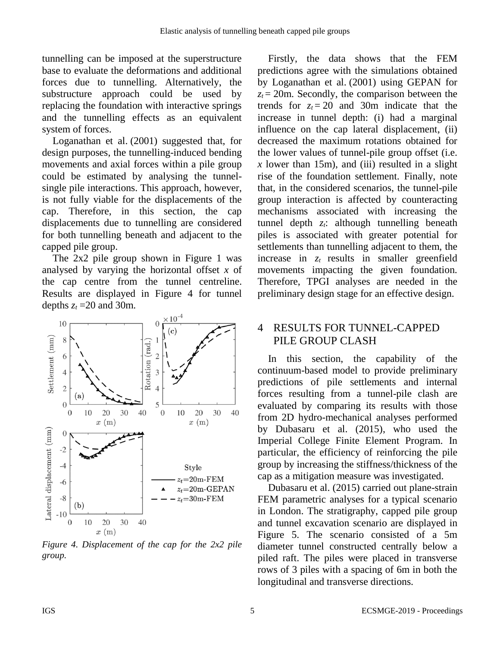tunnelling can be imposed at the superstructure base to evaluate the deformations and additional forces due to tunnelling. Alternatively, the substructure approach could be used by replacing the foundation with interactive springs and the tunnelling effects as an equivalent system of forces.

Loganathan et al. (2001) suggested that, for design purposes, the tunnelling-induced bending movements and axial forces within a pile group could be estimated by analysing the tunnelsingle pile interactions. This approach, however, is not fully viable for the displacements of the cap. Therefore, in this section, the cap displacements due to tunnelling are considered for both tunnelling beneath and adjacent to the capped pile group.

The 2x2 pile group shown in [Figure 1](#page-2-0) was analysed by varying the horizontal offset *x* of the cap centre from the tunnel centreline. Results are displayed in [Figure 4](#page-4-0) for tunnel depths  $z_t = 20$  and 30m.



<span id="page-4-0"></span>*Figure 4. Displacement of the cap for the 2x2 pile group.*

Firstly, the data shows that the FEM predictions agree with the simulations obtained by Loganathan et al. (2001) using GEPAN for  $z_t$  = 20m. Secondly, the comparison between the trends for  $z_t = 20$  and 30m indicate that the increase in tunnel depth: (i) had a marginal influence on the cap lateral displacement, (ii) decreased the maximum rotations obtained for the lower values of tunnel-pile group offset (i.e.  *lower than 15m), and (iii) resulted in a slight* rise of the foundation settlement. Finally, note that, in the considered scenarios, the tunnel-pile group interaction is affected by counteracting mechanisms associated with increasing the tunnel depth *zt*: although tunnelling beneath piles is associated with greater potential for settlements than tunnelling adjacent to them, the increase in *z<sup>t</sup>* results in smaller greenfield movements impacting the given foundation. Therefore, TPGI analyses are needed in the preliminary design stage for an effective design.

## 4 RESULTS FOR TUNNEL-CAPPED PILE GROUP CLASH

In this section, the capability of the continuum-based model to provide preliminary predictions of pile settlements and internal forces resulting from a tunnel-pile clash are evaluated by comparing its results with those from 2D hydro-mechanical analyses performed by Dubasaru et al. (2015), who used the Imperial College Finite Element Program. In particular, the efficiency of reinforcing the pile group by increasing the stiffness/thickness of the cap as a mitigation measure was investigated.

Dubasaru et al. (2015) carried out plane-strain FEM parametric analyses for a typical scenario in London. The stratigraphy, capped pile group and tunnel excavation scenario are displayed in [Figure 5.](#page-5-0) The scenario consisted of a 5m diameter tunnel constructed centrally below a piled raft. The piles were placed in transverse rows of 3 piles with a spacing of 6m in both the longitudinal and transverse directions.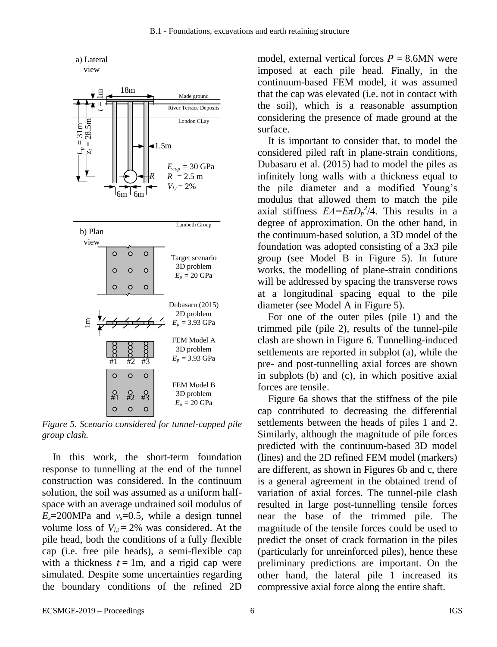

<span id="page-5-0"></span>*Figure 5. Scenario considered for tunnel-capped pile group clash.* 

In this work, the short-term foundation response to tunnelling at the end of the tunnel construction was considered. In the continuum solution, the soil was assumed as a uniform halfspace with an average undrained soil modulus of  $E_s = 200 \text{MPa}$  and  $v_s = 0.5$ , while a design tunnel volume loss of  $V_{lt} = 2\%$  was considered. At the pile head, both the conditions of a fully flexible cap (i.e. free pile heads), a semi-flexible cap with a thickness  $t = 1m$ , and a rigid cap were simulated. Despite some uncertainties regarding the boundary conditions of the refined 2D

model, external vertical forces  $P = 8.6$ MN were imposed at each pile head. Finally, in the continuum-based FEM model, it was assumed that the cap was elevated (i.e. not in contact with the soil), which is a reasonable assumption considering the presence of made ground at the surface.

It is important to consider that, to model the considered piled raft in plane-strain conditions, Dubasaru et al. (2015) had to model the piles as infinitely long walls with a thickness equal to the pile diameter and a modified Young's modulus that allowed them to match the pile axial stiffness  $EA = E\pi D_p^2/4$ . This results in a degree of approximation. On the other hand, in the continuum-based solution, a 3D model of the foundation was adopted consisting of a 3x3 pile group (see Model B in [Figure 5\)](#page-5-0). In future works, the modelling of plane-strain conditions will be addressed by spacing the transverse rows at a longitudinal spacing equal to the pile diameter (see Model A in [Figure 5\)](#page-5-0).

For one of the outer piles (pile 1) and the trimmed pile (pile 2), results of the tunnel-pile clash are shown in [Figure 6.](#page-6-0) Tunnelling-induced settlements are reported in subplot (a), while the pre- and post-tunnelling axial forces are shown in subplots (b) and (c), in which positive axial forces are tensile.

[Figure 6a](#page-6-0) shows that the stiffness of the pile cap contributed to decreasing the differential settlements between the heads of piles 1 and 2. Similarly, although the magnitude of pile forces predicted with the continuum-based 3D model (lines) and the 2D refined FEM model (markers) are different, as shown in Figures 6b and c, there is a general agreement in the obtained trend of variation of axial forces. The tunnel-pile clash resulted in large post-tunnelling tensile forces near the base of the trimmed pile. The magnitude of the tensile forces could be used to predict the onset of crack formation in the piles (particularly for unreinforced piles), hence these preliminary predictions are important. On the other hand, the lateral pile 1 increased its compressive axial force along the entire shaft.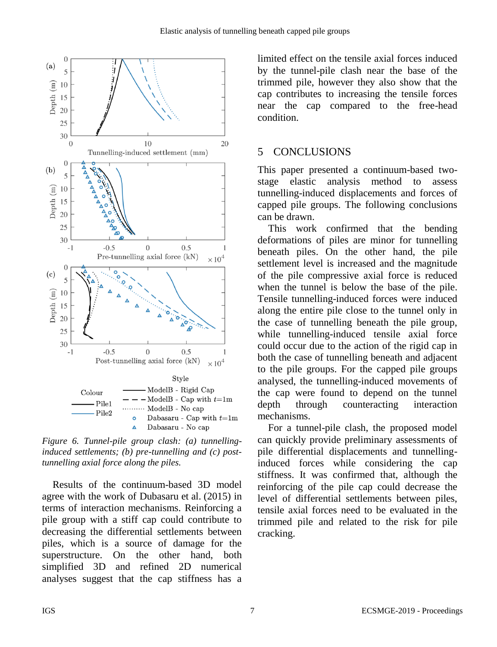

<span id="page-6-0"></span>*Figure 6. Tunnel-pile group clash: (a) tunnellinginduced settlements; (b) pre-tunnelling and (c) posttunnelling axial force along the piles.*

Results of the continuum-based 3D model agree with the work of Dubasaru et al. (2015) in terms of interaction mechanisms. Reinforcing a pile group with a stiff cap could contribute to decreasing the differential settlements between piles, which is a source of damage for the superstructure. On the other hand, both simplified 3D and refined 2D numerical analyses suggest that the cap stiffness has a limited effect on the tensile axial forces induced by the tunnel-pile clash near the base of the trimmed pile, however they also show that the cap contributes to increasing the tensile forces near the cap compared to the free-head condition.

# 5 CONCLUSIONS

This paper presented a continuum-based twostage elastic analysis method to assess tunnelling-induced displacements and forces of capped pile groups. The following conclusions can be drawn.

This work confirmed that the bending deformations of piles are minor for tunnelling beneath piles. On the other hand, the pile settlement level is increased and the magnitude of the pile compressive axial force is reduced when the tunnel is below the base of the pile. Tensile tunnelling-induced forces were induced along the entire pile close to the tunnel only in the case of tunnelling beneath the pile group, while tunnelling-induced tensile axial force could occur due to the action of the rigid cap in both the case of tunnelling beneath and adjacent to the pile groups. For the capped pile groups analysed, the tunnelling-induced movements of the cap were found to depend on the tunnel depth through counteracting interaction mechanisms.

For a tunnel-pile clash, the proposed model can quickly provide preliminary assessments of pile differential displacements and tunnellinginduced forces while considering the cap stiffness. It was confirmed that, although the reinforcing of the pile cap could decrease the level of differential settlements between piles, tensile axial forces need to be evaluated in the trimmed pile and related to the risk for pile cracking.